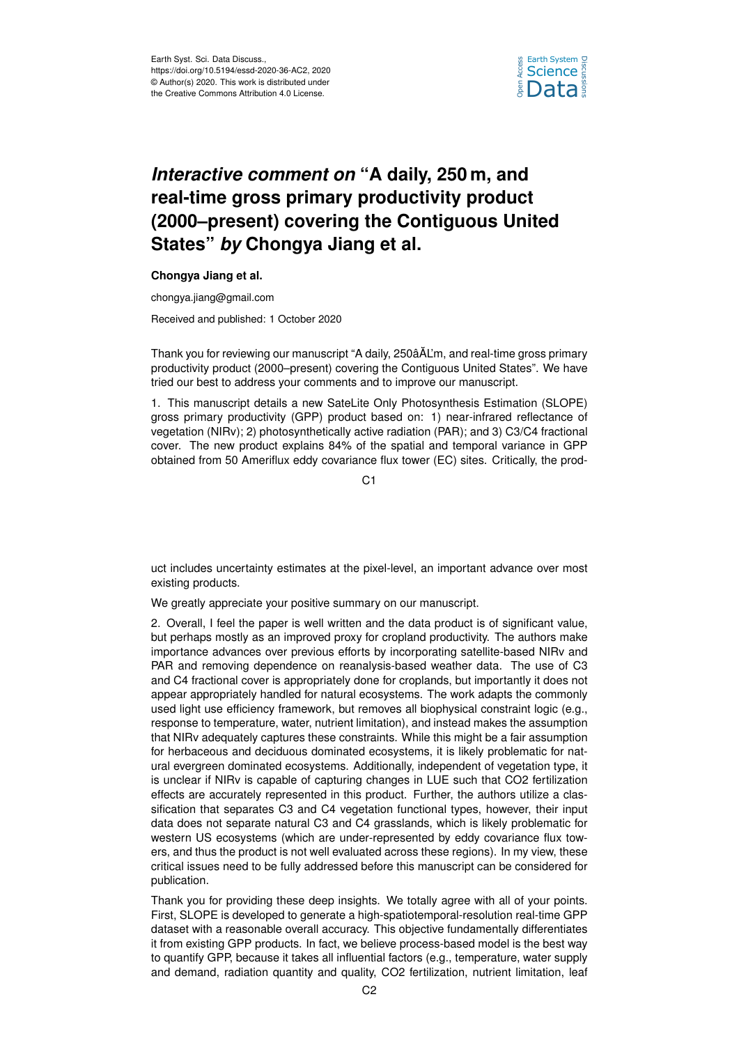

## *Interactive comment on* **"A daily, 250 m, and real-time gross primary productivity product (2000–present) covering the Contiguous United States"** *by* **Chongya Jiang et al.**

## **Chongya Jiang et al.**

chongya.jiang@gmail.com

Received and published: 1 October 2020

Thank you for reviewing our manuscript "A daily, 250âAL'm, and real-time gross primary ˘ productivity product (2000–present) covering the Contiguous United States". We have tried our best to address your comments and to improve our manuscript.

1. This manuscript details a new SateLite Only Photosynthesis Estimation (SLOPE) gross primary productivity (GPP) product based on: 1) near-infrared reflectance of vegetation (NIRv); 2) photosynthetically active radiation (PAR); and 3) C3/C4 fractional cover. The new product explains 84% of the spatial and temporal variance in GPP obtained from 50 Ameriflux eddy covariance flux tower (EC) sites. Critically, the prod-

C1

uct includes uncertainty estimates at the pixel-level, an important advance over most existing products.

We greatly appreciate your positive summary on our manuscript.

2. Overall, I feel the paper is well written and the data product is of significant value, but perhaps mostly as an improved proxy for cropland productivity. The authors make importance advances over previous efforts by incorporating satellite-based NIRv and PAR and removing dependence on reanalysis-based weather data. The use of C3 and C4 fractional cover is appropriately done for croplands, but importantly it does not appear appropriately handled for natural ecosystems. The work adapts the commonly used light use efficiency framework, but removes all biophysical constraint logic (e.g., response to temperature, water, nutrient limitation), and instead makes the assumption that NIRv adequately captures these constraints. While this might be a fair assumption for herbaceous and deciduous dominated ecosystems, it is likely problematic for natural evergreen dominated ecosystems. Additionally, independent of vegetation type, it is unclear if NIRv is capable of capturing changes in LUE such that CO2 fertilization effects are accurately represented in this product. Further, the authors utilize a classification that separates C3 and C4 vegetation functional types, however, their input data does not separate natural C3 and C4 grasslands, which is likely problematic for western US ecosystems (which are under-represented by eddy covariance flux towers, and thus the product is not well evaluated across these regions). In my view, these critical issues need to be fully addressed before this manuscript can be considered for publication.

Thank you for providing these deep insights. We totally agree with all of your points. First, SLOPE is developed to generate a high-spatiotemporal-resolution real-time GPP dataset with a reasonable overall accuracy. This objective fundamentally differentiates it from existing GPP products. In fact, we believe process-based model is the best way to quantify GPP, because it takes all influential factors (e.g., temperature, water supply and demand, radiation quantity and quality, CO2 fertilization, nutrient limitation, leaf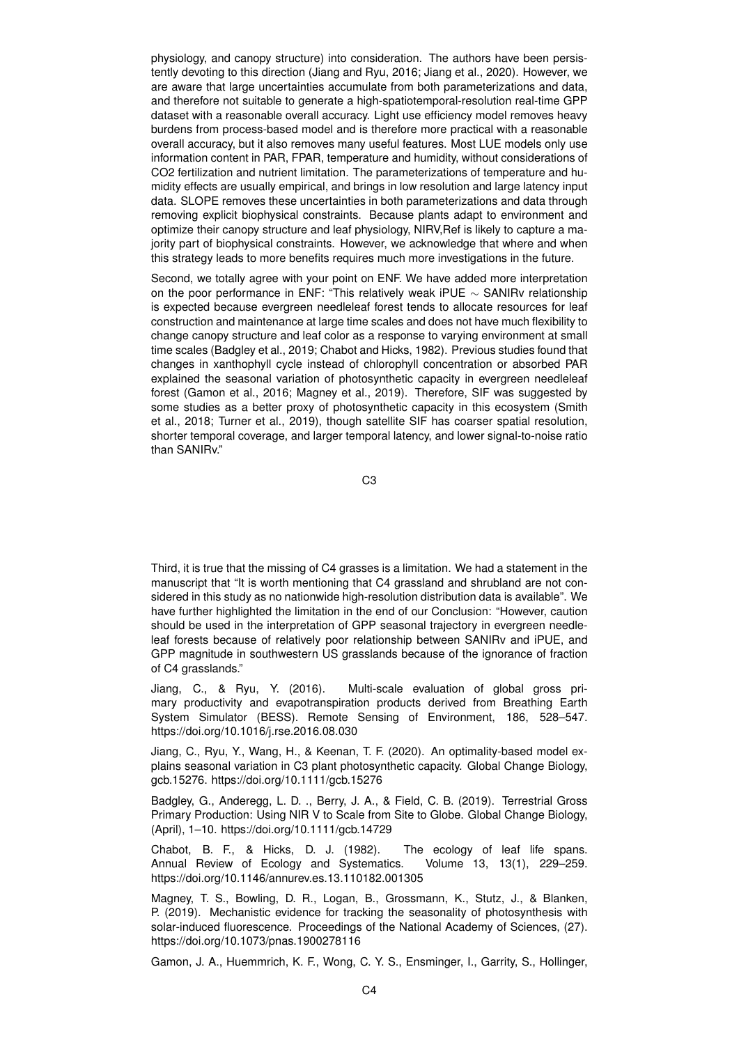physiology, and canopy structure) into consideration. The authors have been persistently devoting to this direction (Jiang and Ryu, 2016; Jiang et al., 2020). However, we are aware that large uncertainties accumulate from both parameterizations and data, and therefore not suitable to generate a high-spatiotemporal-resolution real-time GPP dataset with a reasonable overall accuracy. Light use efficiency model removes heavy burdens from process-based model and is therefore more practical with a reasonable overall accuracy, but it also removes many useful features. Most LUE models only use information content in PAR, FPAR, temperature and humidity, without considerations of CO2 fertilization and nutrient limitation. The parameterizations of temperature and humidity effects are usually empirical, and brings in low resolution and large latency input data. SLOPE removes these uncertainties in both parameterizations and data through removing explicit biophysical constraints. Because plants adapt to environment and optimize their canopy structure and leaf physiology, NIRV,Ref is likely to capture a majority part of biophysical constraints. However, we acknowledge that where and when this strategy leads to more benefits requires much more investigations in the future.

Second, we totally agree with your point on ENF. We have added more interpretation on the poor performance in ENF: "This relatively weak iPUE ∼ SANIRv relationship is expected because evergreen needleleaf forest tends to allocate resources for leaf construction and maintenance at large time scales and does not have much flexibility to change canopy structure and leaf color as a response to varying environment at small time scales (Badgley et al., 2019; Chabot and Hicks, 1982). Previous studies found that changes in xanthophyll cycle instead of chlorophyll concentration or absorbed PAR explained the seasonal variation of photosynthetic capacity in evergreen needleleaf forest (Gamon et al., 2016; Magney et al., 2019). Therefore, SIF was suggested by some studies as a better proxy of photosynthetic capacity in this ecosystem (Smith et al., 2018; Turner et al., 2019), though satellite SIF has coarser spatial resolution, shorter temporal coverage, and larger temporal latency, and lower signal-to-noise ratio than SANIRv."

C3

Third, it is true that the missing of C4 grasses is a limitation. We had a statement in the manuscript that "It is worth mentioning that C4 grassland and shrubland are not considered in this study as no nationwide high-resolution distribution data is available". We have further highlighted the limitation in the end of our Conclusion: "However, caution should be used in the interpretation of GPP seasonal trajectory in evergreen needleleaf forests because of relatively poor relationship between SANIRv and iPUE, and GPP magnitude in southwestern US grasslands because of the ignorance of fraction of C4 grasslands."

Jiang, C., & Ryu, Y. (2016). Multi-scale evaluation of global gross primary productivity and evapotranspiration products derived from Breathing Earth System Simulator (BESS). Remote Sensing of Environment, 186, 528–547. https://doi.org/10.1016/j.rse.2016.08.030

Jiang, C., Ryu, Y., Wang, H., & Keenan, T. F. (2020). An optimality-based model explains seasonal variation in C3 plant photosynthetic capacity. Global Change Biology, gcb.15276. https://doi.org/10.1111/gcb.15276

Badgley, G., Anderegg, L. D. ., Berry, J. A., & Field, C. B. (2019). Terrestrial Gross Primary Production: Using NIR V to Scale from Site to Globe. Global Change Biology, (April), 1–10. https://doi.org/10.1111/gcb.14729

Chabot, B. F., & Hicks, D. J. (1982). The ecology of leaf life spans. Annual Review of Ecology and Systematics. Volume 13, 13(1), 229–259. https://doi.org/10.1146/annurev.es.13.110182.001305

Magney, T. S., Bowling, D. R., Logan, B., Grossmann, K., Stutz, J., & Blanken, P. (2019). Mechanistic evidence for tracking the seasonality of photosynthesis with solar-induced fluorescence. Proceedings of the National Academy of Sciences, (27). https://doi.org/10.1073/pnas.1900278116

Gamon, J. A., Huemmrich, K. F., Wong, C. Y. S., Ensminger, I., Garrity, S., Hollinger,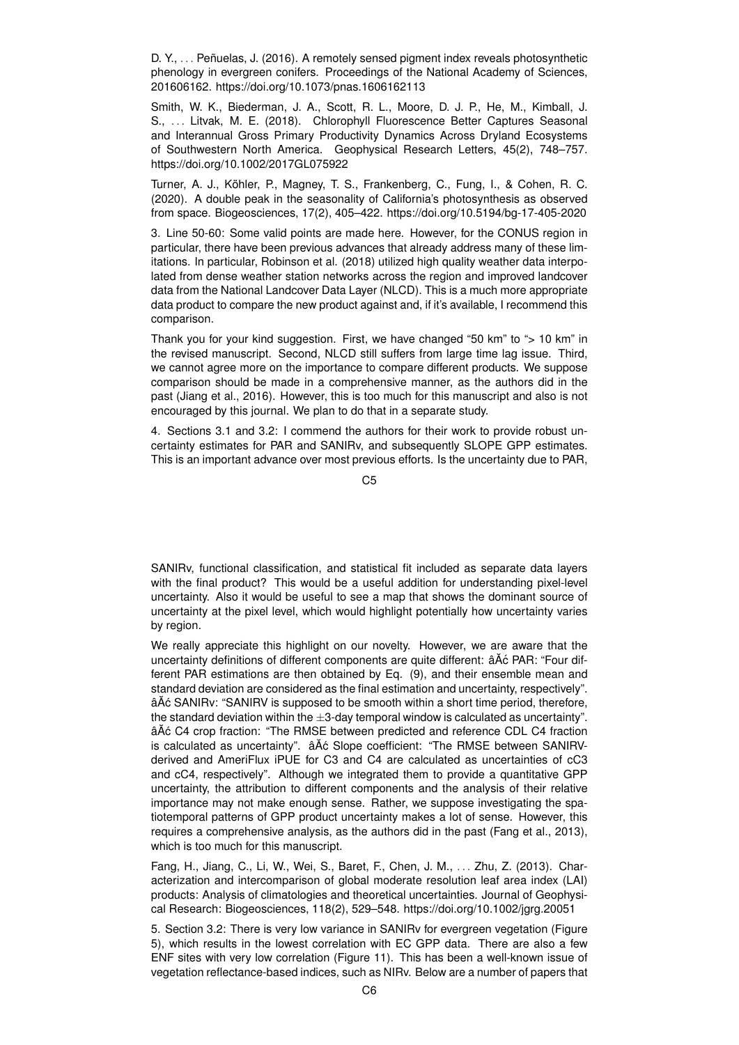D. Y., . . . Peñuelas, J. (2016). A remotely sensed pigment index reveals photosynthetic phenology in evergreen conifers. Proceedings of the National Academy of Sciences, 201606162. https://doi.org/10.1073/pnas.1606162113

Smith, W. K., Biederman, J. A., Scott, R. L., Moore, D. J. P., He, M., Kimball, J. S., . . . Litvak, M. E. (2018). Chlorophyll Fluorescence Better Captures Seasonal and Interannual Gross Primary Productivity Dynamics Across Dryland Ecosystems of Southwestern North America. Geophysical Research Letters, 45(2), 748–757. https://doi.org/10.1002/2017GL075922

Turner, A. J., Köhler, P., Magney, T. S., Frankenberg, C., Fung, I., & Cohen, R. C. (2020). A double peak in the seasonality of California's photosynthesis as observed from space. Biogeosciences, 17(2), 405–422. https://doi.org/10.5194/bg-17-405-2020

3. Line 50-60: Some valid points are made here. However, for the CONUS region in particular, there have been previous advances that already address many of these limitations. In particular, Robinson et al. (2018) utilized high quality weather data interpolated from dense weather station networks across the region and improved landcover data from the National Landcover Data Layer (NLCD). This is a much more appropriate data product to compare the new product against and, if it's available, I recommend this comparison.

Thank you for your kind suggestion. First, we have changed "50 km" to "> 10 km" in the revised manuscript. Second, NLCD still suffers from large time lag issue. Third, we cannot agree more on the importance to compare different products. We suppose comparison should be made in a comprehensive manner, as the authors did in the past (Jiang et al., 2016). However, this is too much for this manuscript and also is not encouraged by this journal. We plan to do that in a separate study.

4. Sections 3.1 and 3.2: I commend the authors for their work to provide robust uncertainty estimates for PAR and SANIRv, and subsequently SLOPE GPP estimates. This is an important advance over most previous efforts. Is the uncertainty due to PAR,

C5

SANIRv, functional classification, and statistical fit included as separate data layers with the final product? This would be a useful addition for understanding pixel-level uncertainty. Also it would be useful to see a map that shows the dominant source of uncertainty at the pixel level, which would highlight potentially how uncertainty varies by region.

We really appreciate this highlight on our novelty. However, we are aware that the uncertainty definitions of different components are quite different: â A c PAR: "Four different PAR estimations are then obtained by Eq. (9), and their ensemble mean and standard deviation are considered as the final estimation and uncertainty, respectively". âAČ SANIRV: "SANIRV is supposed to be smooth within a short time period, therefore, the standard deviation within the  $\pm 3$ -day temporal window is calculated as uncertainty". âA˘ c C4 crop fraction: "The RMSE between predicted and reference CDL C4 fraction ´ is calculated as uncertainty".  $\hat{a} \check{A} \hat{c}$  Slope coefficient: "The RMSE between SANIRVderived and AmeriFlux iPUE for C3 and C4 are calculated as uncertainties of cC3 and cC4, respectively". Although we integrated them to provide a quantitative GPP uncertainty, the attribution to different components and the analysis of their relative importance may not make enough sense. Rather, we suppose investigating the spatiotemporal patterns of GPP product uncertainty makes a lot of sense. However, this requires a comprehensive analysis, as the authors did in the past (Fang et al., 2013), which is too much for this manuscript.

Fang, H., Jiang, C., Li, W., Wei, S., Baret, F., Chen, J. M., . . . Zhu, Z. (2013). Characterization and intercomparison of global moderate resolution leaf area index (LAI) products: Analysis of climatologies and theoretical uncertainties. Journal of Geophysical Research: Biogeosciences, 118(2), 529–548. https://doi.org/10.1002/jgrg.20051

5. Section 3.2: There is very low variance in SANIRv for evergreen vegetation (Figure 5), which results in the lowest correlation with EC GPP data. There are also a few ENF sites with very low correlation (Figure 11). This has been a well-known issue of vegetation reflectance-based indices, such as NIRv. Below are a number of papers that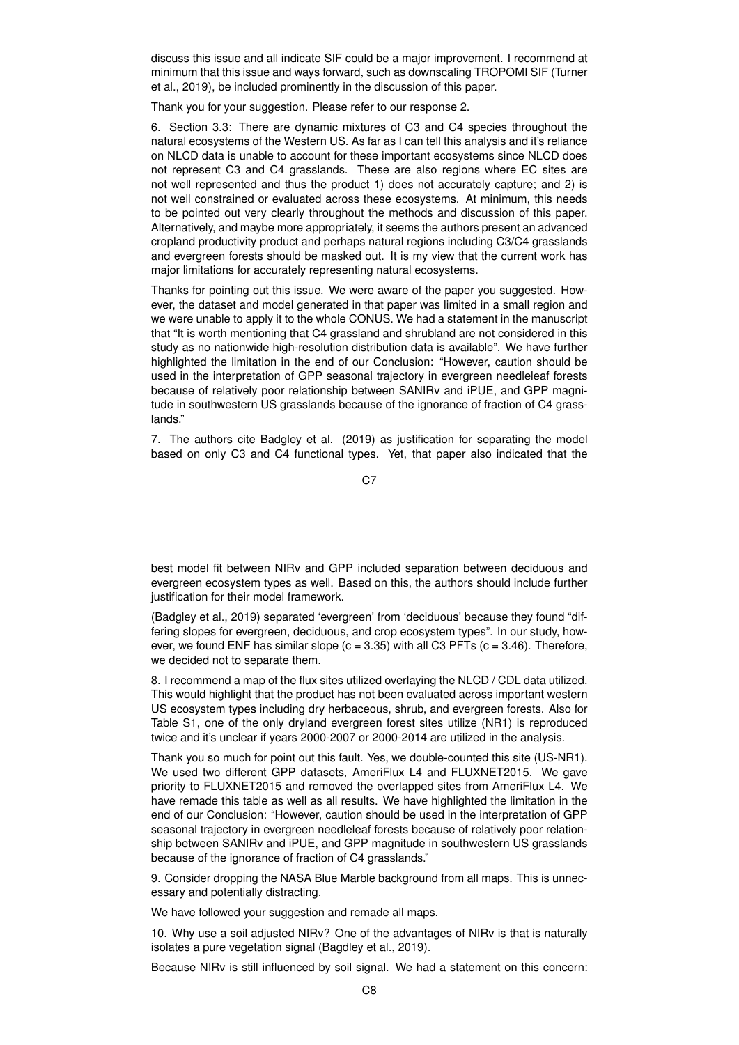discuss this issue and all indicate SIF could be a major improvement. I recommend at minimum that this issue and ways forward, such as downscaling TROPOMI SIF (Turner et al., 2019), be included prominently in the discussion of this paper.

Thank you for your suggestion. Please refer to our response 2.

6. Section 3.3: There are dynamic mixtures of C3 and C4 species throughout the natural ecosystems of the Western US. As far as I can tell this analysis and it's reliance on NLCD data is unable to account for these important ecosystems since NLCD does not represent C3 and C4 grasslands. These are also regions where EC sites are not well represented and thus the product 1) does not accurately capture; and 2) is not well constrained or evaluated across these ecosystems. At minimum, this needs to be pointed out very clearly throughout the methods and discussion of this paper. Alternatively, and maybe more appropriately, it seems the authors present an advanced cropland productivity product and perhaps natural regions including C3/C4 grasslands and evergreen forests should be masked out. It is my view that the current work has major limitations for accurately representing natural ecosystems.

Thanks for pointing out this issue. We were aware of the paper you suggested. However, the dataset and model generated in that paper was limited in a small region and we were unable to apply it to the whole CONUS. We had a statement in the manuscript that "It is worth mentioning that C4 grassland and shrubland are not considered in this study as no nationwide high-resolution distribution data is available". We have further highlighted the limitation in the end of our Conclusion: "However, caution should be used in the interpretation of GPP seasonal trajectory in evergreen needleleaf forests because of relatively poor relationship between SANIRv and iPUE, and GPP magnitude in southwestern US grasslands because of the ignorance of fraction of C4 grasslands."

7. The authors cite Badgley et al. (2019) as justification for separating the model based on only C3 and C4 functional types. Yet, that paper also indicated that the

 $C<sub>7</sub>$ 

best model fit between NIRv and GPP included separation between deciduous and evergreen ecosystem types as well. Based on this, the authors should include further justification for their model framework.

(Badgley et al., 2019) separated 'evergreen' from 'deciduous' because they found "differing slopes for evergreen, deciduous, and crop ecosystem types". In our study, however, we found ENF has similar slope  $(c = 3.35)$  with all C3 PFTs  $(c = 3.46)$ . Therefore, we decided not to separate them.

8. I recommend a map of the flux sites utilized overlaying the NLCD / CDL data utilized. This would highlight that the product has not been evaluated across important western US ecosystem types including dry herbaceous, shrub, and evergreen forests. Also for Table S1, one of the only dryland evergreen forest sites utilize (NR1) is reproduced twice and it's unclear if years 2000-2007 or 2000-2014 are utilized in the analysis.

Thank you so much for point out this fault. Yes, we double-counted this site (US-NR1). We used two different GPP datasets, AmeriFlux L4 and FLUXNET2015. We gave priority to FLUXNET2015 and removed the overlapped sites from AmeriFlux L4. We have remade this table as well as all results. We have highlighted the limitation in the end of our Conclusion: "However, caution should be used in the interpretation of GPP seasonal trajectory in evergreen needleleaf forests because of relatively poor relationship between SANIRv and iPUE, and GPP magnitude in southwestern US grasslands because of the ignorance of fraction of C4 grasslands."

9. Consider dropping the NASA Blue Marble background from all maps. This is unnecessary and potentially distracting.

We have followed your suggestion and remade all maps.

10. Why use a soil adjusted NIRv? One of the advantages of NIRv is that is naturally isolates a pure vegetation signal (Bagdley et al., 2019).

Because NIRv is still influenced by soil signal. We had a statement on this concern: